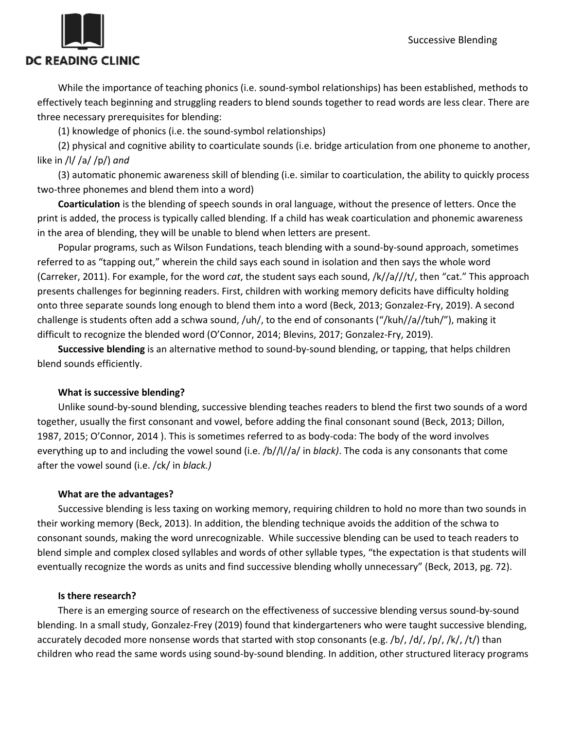

While the importance of teaching phonics (i.e. sound-symbol relationships) has been established, methods to effectively teach beginning and struggling readers to blend sounds together to read words are less clear. There are three necessary prerequisites for blending:

(1) knowledge of phonics (i.e. the sound-symbol relationships)

(2) physical and cognitive ability to coarticulate sounds (i.e. bridge articulation from one phoneme to another, like in /l/ /a/ /p/) *and*

(3) automatic phonemic awareness skill of blending (i.e. similar to coarticulation, the ability to quickly process two-three phonemes and blend them into a word)

**Coarticulation** is the blending of speech sounds in oral language, without the presence of letters. Once the print is added, the process is typically called blending. If a child has weak coarticulation and phonemic awareness in the area of blending, they will be unable to blend when letters are present.

Popular programs, such as Wilson Fundations, teach blending with a sound-by-sound approach, sometimes referred to as "tapping out," wherein the child says each sound in isolation and then says the whole word (Carreker, 2011). For example, for the word *cat*, the student says each sound, /k//a///t/, then "cat." This approach presents challenges for beginning readers. First, children with working memory deficits have difficulty holding onto three separate sounds long enough to blend them into a word (Beck, 2013; Gonzalez-Fry, 2019). A second challenge is students often add a schwa sound, /uh/, to the end of consonants ("/kuh//a//tuh/"), making it difficult to recognize the blended word (O'Connor, 2014; Blevins, 2017; Gonzalez-Fry, 2019).

**Successive blending** is an alternative method to sound-by-sound blending, or tapping, that helps children blend sounds efficiently.

# **What is successive blending?**

Unlike sound-by-sound blending, successive blending teaches readers to blend the first two sounds of a word together, usually the first consonant and vowel, before adding the final consonant sound (Beck, 2013; Dillon, 1987, 2015; O'Connor, 2014 ). This is sometimes referred to as body-coda: The body of the word involves everything up to and including the vowel sound (i.e. /b//l//a/ in *black)*. The coda is any consonants that come after the vowel sound (i.e. /ck/ in *black.)*

# **What are the advantages?**

Successive blending is less taxing on working memory, requiring children to hold no more than two sounds in their working memory (Beck, 2013). In addition, the blending technique avoids the addition of the schwa to consonant sounds, making the word unrecognizable. While successive blending can be used to teach readers to blend simple and complex closed syllables and words of other syllable types, "the expectation is that students will eventually recognize the words as units and find successive blending wholly unnecessary" (Beck, 2013, pg. 72).

### **Is there research?**

There is an emerging source of research on the effectiveness of successive blending versus sound-by-sound blending. In a small study, Gonzalez-Frey (2019) found that kindergarteners who were taught successive blending, accurately decoded more nonsense words that started with stop consonants (e.g. /b/, /d/, /p/, /k/, /t/) than children who read the same words using sound-by-sound blending. In addition, other structured literacy programs